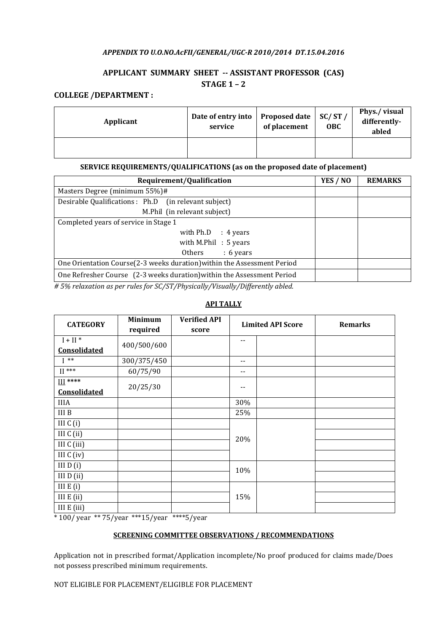### APPENDIX TO U.O.NO.AcFII/GENERAL/UGC-R 2010/2014 DT.15.04.2016

# APPLICANT SUMMARY SHEET -- ASSISTANT PROFESSOR (CAS) STAGE 1 – 2

## COLLEGE /DEPARTMENT :

| Applicant | Date of entry into<br>service | <b>Proposed date</b><br>of placement | SC/ST/<br><b>OBC</b> | Phys./visual<br>differently-<br>abled |
|-----------|-------------------------------|--------------------------------------|----------------------|---------------------------------------|
|           |                               |                                      |                      |                                       |

## SERVICE REQUIREMENTS/QUALIFICATIONS (as on the proposed date of placement)

| Requirement/Qualification                                                | YES / NO | <b>REMARKS</b> |
|--------------------------------------------------------------------------|----------|----------------|
| Masters Degree (minimum 55%)#                                            |          |                |
| Desirable Qualifications : Ph.D (in relevant subject)                    |          |                |
| M.Phil (in relevant subject)                                             |          |                |
| Completed years of service in Stage 1                                    |          |                |
| with $Ph.D$ : 4 years                                                    |          |                |
| with M.Phil $: 5$ years                                                  |          |                |
| $: 6 \text{ years}$<br>Others                                            |          |                |
| One Orientation Course (2-3 weeks duration) within the Assessment Period |          |                |
| One Refresher Course (2-3 weeks duration) within the Assessment Period   |          |                |

 $# 5\%$  relaxation as per rules for SC/ST/Physically/Visually/Differently abled.

#### **CATEGORY** Minimum required Verified API score Limited API Score Remarks  $I + II$ <sup>\*</sup> Consolidated 400/500/600 --  $I^{**}$  300/375/450  $II***$  60/75/90 --III \*\*\*\*  $\frac{m}{\text{Consolidated}}$  20/25/30 --IIIA  $\vert$  30% III B  $\vert$  25%  $III C (i)$ 20% III  $C$  (ii) III C (iii) III C (iv)  $III D (i)$  $\frac{10\%}{10\%}$  10% III  $E(i)$ III E (ii)  $15\%$ III E (iii)

# API TALLY

\* 100/ year \*\* 75/year \*\*\*15/year \*\*\*\*5/year

#### SCREENING COMMITTEE OBSERVATIONS / RECOMMENDATIONS

Application not in prescribed format/Application incomplete/No proof produced for claims made/Does not possess prescribed minimum requirements.

NOT ELIGIBLE FOR PLACEMENT/ELIGIBLE FOR PLACEMENT